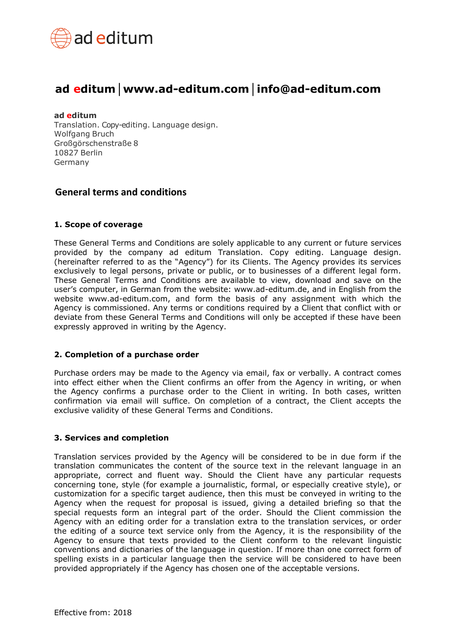

# **ad editum│[www.ad-editum.com](http://www.ad-editum.com/)│info@ad-editum.com**

#### **ad editum**

Translation. Copy-editing. Language design. Wolfgang Bruch Großgörschenstraße 8 10827 Berlin Germany

## **General terms and conditions**

#### **1. Scope of coverage**

These General Terms and Conditions are solely applicable to any current or future services provided by the company ad editum Translation. Copy editing. Language design. (hereinafter referred to as the "Agency") for its Clients. The Agency provides its services exclusively to legal persons, private or public, or to businesses of a different legal form. These General Terms and Conditions are available to view, download and save on the user's computer, in German from the website: [www.ad-editum.de, a](http://www.ad-editum.de/)nd in English from the website [www.ad-editum.com, a](http://www.ad-editum.com/)nd form the basis of any assignment with which the Agency is commissioned. Any terms or conditions required by a Client that conflict with or deviate from these General Terms and Conditions will only be accepted if these have been expressly approved in writing by the Agency.

## **2. Completion of a purchase order**

Purchase orders may be made to the Agency via email, fax or verbally. A contract comes into effect either when the Client confirms an offer from the Agency in writing, or when the Agency confirms a purchase order to the Client in writing. In both cases, written confirmation via email will suffice. On completion of a contract, the Client accepts the exclusive validity of these General Terms and Conditions.

#### **3. Services and completion**

Translation services provided by the Agency will be considered to be in due form if the translation communicates the content of the source text in the relevant language in an appropriate, correct and fluent way. Should the Client have any particular requests concerning tone, style (for example a journalistic, formal, or especially creative style), or customization for a specific target audience, then this must be conveyed in writing to the Agency when the request for proposal is issued, giving a detailed briefing so that the special requests form an integral part of the order. Should the Client commission the Agency with an editing order for a translation extra to the translation services, or order the editing of a source text service only from the Agency, it is the responsibility of the Agency to ensure that texts provided to the Client conform to the relevant linguistic conventions and dictionaries of the language in question. If more than one correct form of spelling exists in a particular language then the service will be considered to have been provided appropriately if the Agency has chosen one of the acceptable versions.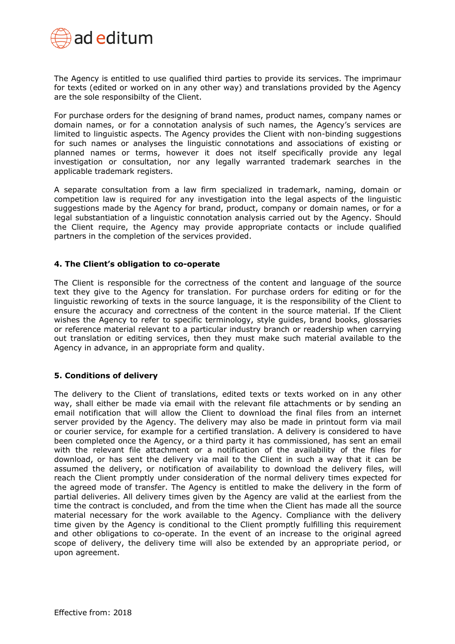

The Agency is entitled to use qualified third parties to provide its services. The imprimaur for texts (edited or worked on in any other way) and translations provided by the Agency are the sole responsibilty of the Client.

For purchase orders for the designing of brand names, product names, company names or domain names, or for a connotation analysis of such names, the Agency's services are limited to linguistic aspects. The Agency provides the Client with non-binding suggestions for such names or analyses the linguistic connotations and associations of existing or planned names or terms, however it does not itself specifically provide any legal investigation or consultation, nor any legally warranted trademark searches in the applicable trademark registers.

A separate consultation from a law firm specialized in trademark, naming, domain or competition law is required for any investigation into the legal aspects of the linguistic suggestions made by the Agency for brand, product, company or domain names, or for a legal substantiation of a linguistic connotation analysis carried out by the Agency. Should the Client require, the Agency may provide appropriate contacts or include qualified partners in the completion of the services provided.

#### **4. The Client's obligation to co-operate**

The Client is responsible for the correctness of the content and language of the source text they give to the Agency for translation. For purchase orders for editing or for the linguistic reworking of texts in the source language, it is the responsibility of the Client to ensure the accuracy and correctness of the content in the source material. If the Client wishes the Agency to refer to specific terminology, style guides, brand books, glossaries or reference material relevant to a particular industry branch or readership when carrying out translation or editing services, then they must make such material available to the Agency in advance, in an appropriate form and quality.

## **5. Conditions of delivery**

The delivery to the Client of translations, edited texts or texts worked on in any other way, shall either be made via email with the relevant file attachments or by sending an email notification that will allow the Client to download the final files from an internet server provided by the Agency. The delivery may also be made in printout form via mail or courier service, for example for a certified translation. A delivery is considered to have been completed once the Agency, or a third party it has commissioned, has sent an email with the relevant file attachment or a notification of the availability of the files for download, or has sent the delivery via mail to the Client in such a way that it can be assumed the delivery, or notification of availability to download the delivery files, will reach the Client promptly under consideration of the normal delivery times expected for the agreed mode of transfer. The Agency is entitled to make the delivery in the form of partial deliveries. All delivery times given by the Agency are valid at the earliest from the time the contract is concluded, and from the time when the Client has made all the source material necessary for the work available to the Agency. Compliance with the delivery time given by the Agency is conditional to the Client promptly fulfilling this requirement and other obligations to co-operate. In the event of an increase to the original agreed scope of delivery, the delivery time will also be extended by an appropriate period, or upon agreement.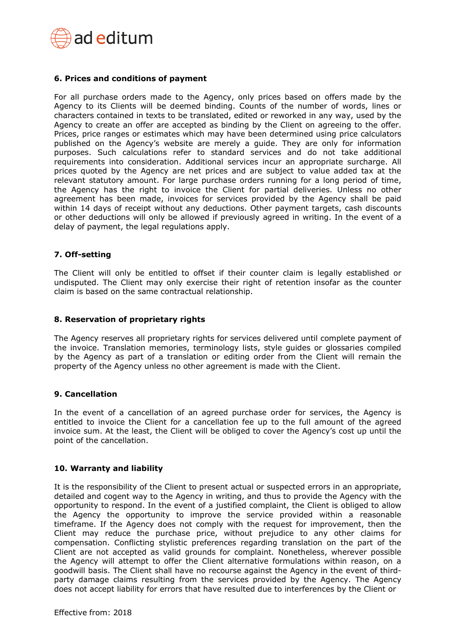

#### **6. Prices and conditions of payment**

For all purchase orders made to the Agency, only prices based on offers made by the Agency to its Clients will be deemed binding. Counts of the number of words, lines or characters contained in texts to be translated, edited or reworked in any way, used by the Agency to create an offer are accepted as binding by the Client on agreeing to the offer. Prices, price ranges or estimates which may have been determined using price calculators published on the Agency's website are merely a guide. They are only for information purposes. Such calculations refer to standard services and do not take additional requirements into consideration. Additional services incur an appropriate surcharge. All prices quoted by the Agency are net prices and are subject to value added tax at the relevant statutory amount. For large purchase orders running for a long period of time, the Agency has the right to invoice the Client for partial deliveries. Unless no other agreement has been made, invoices for services provided by the Agency shall be paid within 14 days of receipt without any deductions. Other payment targets, cash discounts or other deductions will only be allowed if previously agreed in writing. In the event of a delay of payment, the legal regulations apply.

#### **7. Off-setting**

The Client will only be entitled to offset if their counter claim is legally established or undisputed. The Client may only exercise their right of retention insofar as the counter claim is based on the same contractual relationship.

#### **8. Reservation of proprietary rights**

The Agency reserves all proprietary rights for services delivered until complete payment of the invoice. Translation memories, terminology lists, style guides or glossaries compiled by the Agency as part of a translation or editing order from the Client will remain the property of the Agency unless no other agreement is made with the Client.

#### **9. Cancellation**

In the event of a cancellation of an agreed purchase order for services, the Agency is entitled to invoice the Client for a cancellation fee up to the full amount of the agreed invoice sum. At the least, the Client will be obliged to cover the Agency's cost up until the point of the cancellation.

#### **10. Warranty and liability**

It is the responsibility of the Client to present actual or suspected errors in an appropriate, detailed and cogent way to the Agency in writing, and thus to provide the Agency with the opportunity to respond. In the event of a justified complaint, the Client is obliged to allow the Agency the opportunity to improve the service provided within a reasonable timeframe. If the Agency does not comply with the request for improvement, then the Client may reduce the purchase price, without prejudice to any other claims for compensation. Conflicting stylistic preferences regarding translation on the part of the Client are not accepted as valid grounds for complaint. Nonetheless, wherever possible the Agency will attempt to offer the Client alternative formulations within reason, on a goodwill basis. The Client shall have no recourse against the Agency in the event of thirdparty damage claims resulting from the services provided by the Agency. The Agency does not accept liability for errors that have resulted due to interferences by the Client or